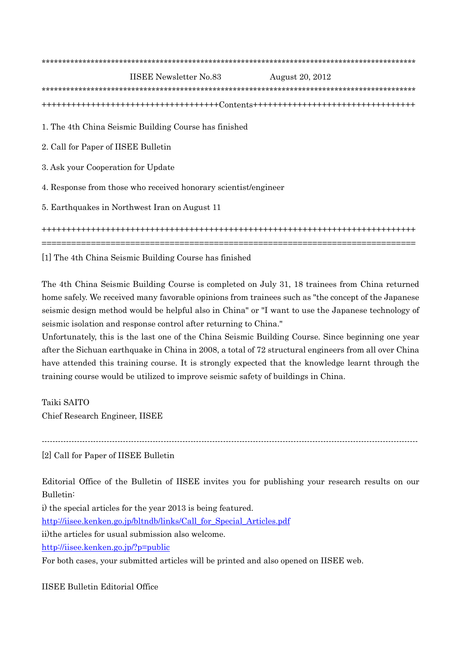| <b>IISEE Newsletter No.83</b><br>August 20, 2012                |
|-----------------------------------------------------------------|
|                                                                 |
|                                                                 |
| 1. The 4th China Seismic Building Course has finished           |
| 2. Call for Paper of IISEE Bulletin                             |
| 3. Ask your Cooperation for Update                              |
| 4. Response from those who received honorary scientist/engineer |
| 5. Earthquakes in Northwest Iran on August 11                   |
|                                                                 |
| [1] The 4th China Seismic Building Course has finished          |

The 4th China Seismic Building Course is completed on July 31, 18 trainees from China returned home safely. We received many favorable opinions from trainees such as "the concept of the Japanese seismic design method would be helpful also in China" or "I want to use the Japanese technology of

seismic isolation and response control after returning to China." Unfortunately, this is the last one of the China Seismic Building Course. Since beginning one year after the Sichuan earthquake in China in 2008, a total of 72 structural engineers from all over China have attended this training course. It is strongly expected that the knowledge learnt through the

training course would be utilized to improve seismic safety of buildings in China.

Taiki SAITO Chief Research Engineer, IISEE

-------------------------------------------------------------------------------------------------------------------------------------------

[2] Call for Paper of IISEE Bulletin

Editorial Office of the Bulletin of IISEE invites you for publishing your research results on our Bulletin:

i) the special articles for the year 2013 is being featured. [http://iisee.kenken.go.jp/bltndb/links/Call\\_for\\_Special\\_Articles.pdf](http://iisee.kenken.go.jp/bltndb/links/Call_for_Special_Articles.pdf) ii)the articles for usual submission also welcome. <http://iisee.kenken.go.jp/?p=public>

For both cases, your submitted articles will be printed and also opened on IISEE web.

IISEE Bulletin Editorial Office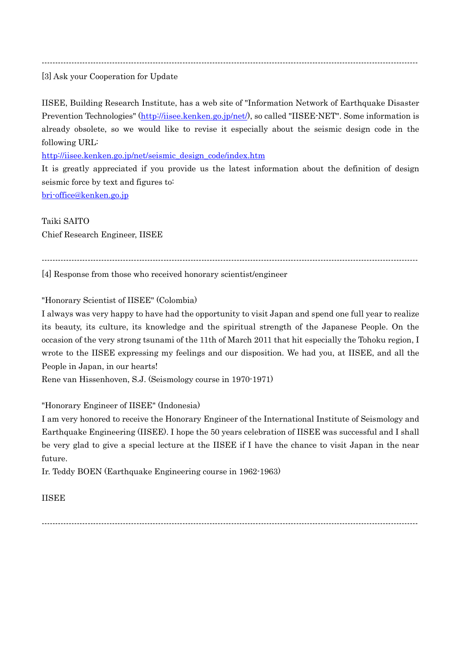-------------------------------------------------------------------------------------------------------------------------------------------

[3] Ask your Cooperation for Update

IISEE, Building Research Institute, has a web site of "Information Network of Earthquake Disaster Prevention Technologies" [\(http://iisee.kenken.go.jp/net/\)](http://iisee.kenken.go.jp/net/), so called "IISEE-NET". Some information is already obsolete, so we would like to revise it especially about the seismic design code in the following URL:

[http://iisee.kenken.go.jp/net/seismic\\_design\\_code/index.htm](http://iisee.kenken.go.jp/net/seismic_design_code/index.htm)

It is greatly appreciated if you provide us the latest information about the definition of design seismic force by text and figures to:

bri-office@kenken.go.jp

Taiki SAITO Chief Research Engineer, IISEE

-------------------------------------------------------------------------------------------------------------------------------------------

[4] Response from those who received honorary scientist/engineer

"Honorary Scientist of IISEE" (Colombia)

I always was very happy to have had the opportunity to visit Japan and spend one full year to realize its beauty, its culture, its knowledge and the spiritual strength of the Japanese People. On the occasion of the very strong tsunami of the 11th of March 2011 that hit especially the Tohoku region, I wrote to the IISEE expressing my feelings and our disposition. We had you, at IISEE, and all the People in Japan, in our hearts!

Rene van Hissenhoven, S.J. (Seismology course in 1970-1971)

"Honorary Engineer of IISEE" (Indonesia)

I am very honored to receive the Honorary Engineer of the International Institute of Seismology and Earthquake Engineering (IISEE). I hope the 50 years celebration of IISEE was successful and I shall be very glad to give a special lecture at the IISEE if I have the chance to visit Japan in the near future.

Ir. Teddy BOEN (Earthquake Engineering course in 1962-1963)

IISEE

-------------------------------------------------------------------------------------------------------------------------------------------